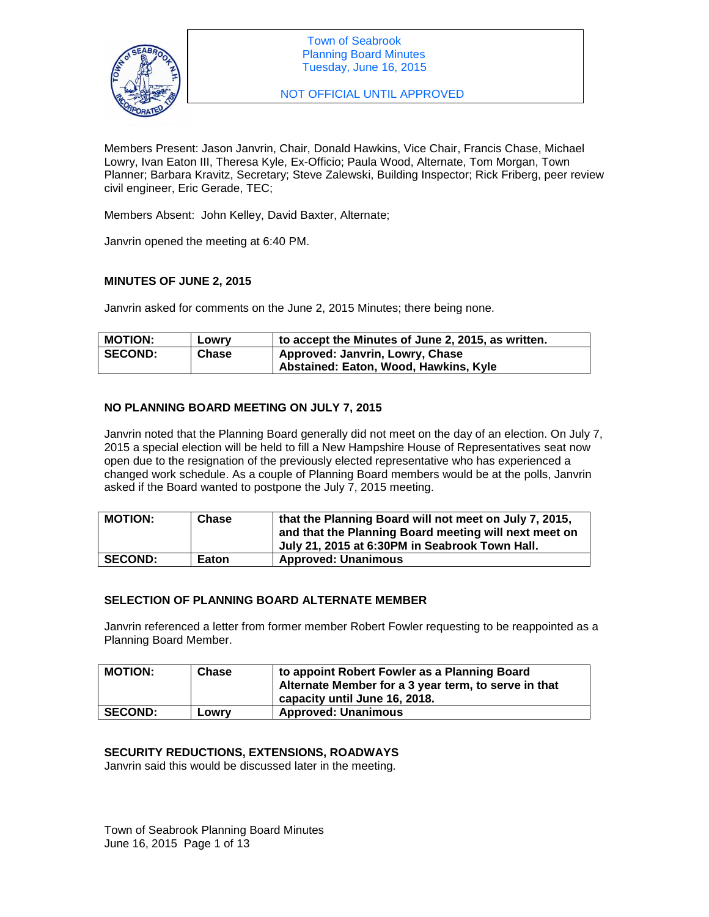

NOT OFFICIAL UNTIL APPROVED

Members Present: Jason Janvrin, Chair, Donald Hawkins, Vice Chair, Francis Chase, Michael Lowry, Ivan Eaton III, Theresa Kyle, Ex-Officio; Paula Wood, Alternate, Tom Morgan, Town Planner; Barbara Kravitz, Secretary; Steve Zalewski, Building Inspector; Rick Friberg, peer review civil engineer, Eric Gerade, TEC;

Members Absent: John Kelley, David Baxter, Alternate;

Janvrin opened the meeting at 6:40 PM.

## **MINUTES OF JUNE 2, 2015**

Janvrin asked for comments on the June 2, 2015 Minutes; there being none.

| <b>MOTION:</b> | Lowry | $^{\prime}$ to accept the Minutes of June 2, 2015, as written. |
|----------------|-------|----------------------------------------------------------------|
| <b>SECOND:</b> | Chase | Approved: Janvrin, Lowry, Chase                                |
|                |       | Abstained: Eaton, Wood, Hawkins, Kyle                          |

## **NO PLANNING BOARD MEETING ON JULY 7, 2015**

Janvrin noted that the Planning Board generally did not meet on the day of an election. On July 7, 2015 a special election will be held to fill a New Hampshire House of Representatives seat now open due to the resignation of the previously elected representative who has experienced a changed work schedule. As a couple of Planning Board members would be at the polls, Janvrin asked if the Board wanted to postpone the July 7, 2015 meeting.

| <b>MOTION:</b> | Chase | that the Planning Board will not meet on July 7, 2015,<br>and that the Planning Board meeting will next meet on<br>July 21, 2015 at 6:30PM in Seabrook Town Hall. |
|----------------|-------|-------------------------------------------------------------------------------------------------------------------------------------------------------------------|
| <b>SECOND:</b> | Eaton | <b>Approved: Unanimous</b>                                                                                                                                        |

# **SELECTION OF PLANNING BOARD ALTERNATE MEMBER**

Janvrin referenced a letter from former member Robert Fowler requesting to be reappointed as a Planning Board Member.

| <b>MOTION:</b> | <b>Chase</b> | to appoint Robert Fowler as a Planning Board<br>Alternate Member for a 3 year term, to serve in that<br>capacity until June 16, 2018. |
|----------------|--------------|---------------------------------------------------------------------------------------------------------------------------------------|
| <b>SECOND:</b> | Lowrv        | <b>Approved: Unanimous</b>                                                                                                            |

## **SECURITY REDUCTIONS, EXTENSIONS, ROADWAYS**

Janvrin said this would be discussed later in the meeting.

Town of Seabrook Planning Board Minutes June 16, 2015 Page 1 of 13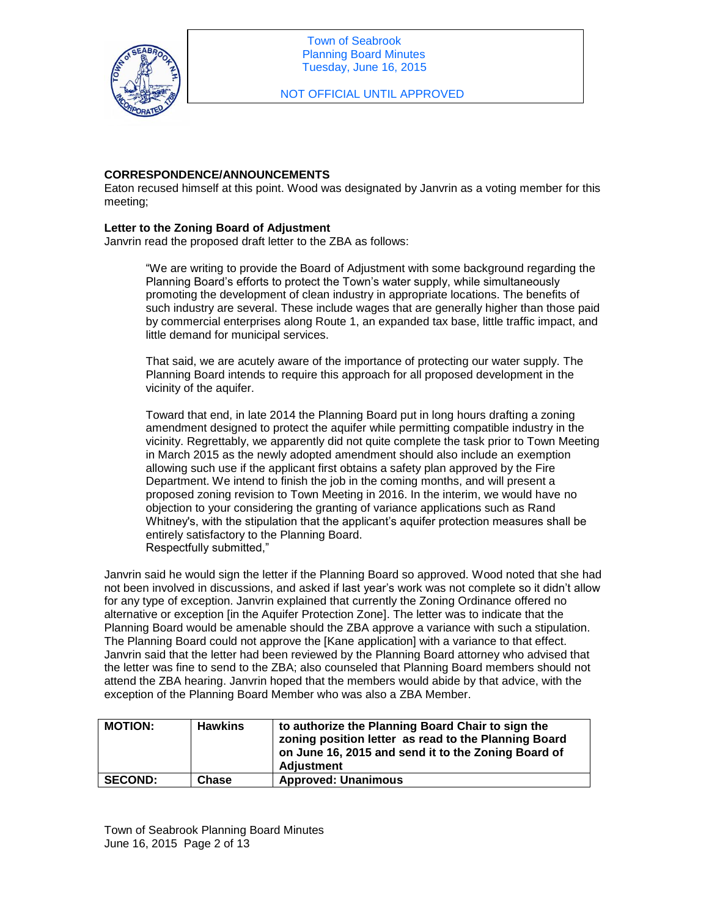

NOT OFFICIAL UNTIL APPROVED

### **CORRESPONDENCE/ANNOUNCEMENTS**

Eaton recused himself at this point. Wood was designated by Janvrin as a voting member for this meeting;

### **Letter to the Zoning Board of Adjustment**

Janvrin read the proposed draft letter to the ZBA as follows:

"We are writing to provide the Board of Adjustment with some background regarding the Planning Board's efforts to protect the Town's water supply, while simultaneously promoting the development of clean industry in appropriate locations. The benefits of such industry are several. These include wages that are generally higher than those paid by commercial enterprises along Route 1, an expanded tax base, little traffic impact, and little demand for municipal services.

That said, we are acutely aware of the importance of protecting our water supply. The Planning Board intends to require this approach for all proposed development in the vicinity of the aquifer.

Toward that end, in late 2014 the Planning Board put in long hours drafting a zoning amendment designed to protect the aquifer while permitting compatible industry in the vicinity. Regrettably, we apparently did not quite complete the task prior to Town Meeting in March 2015 as the newly adopted amendment should also include an exemption allowing such use if the applicant first obtains a safety plan approved by the Fire Department. We intend to finish the job in the coming months, and will present a proposed zoning revision to Town Meeting in 2016. In the interim, we would have no objection to your considering the granting of variance applications such as Rand Whitney's, with the stipulation that the applicant's aquifer protection measures shall be entirely satisfactory to the Planning Board. Respectfully submitted,"

Janvrin said he would sign the letter if the Planning Board so approved. Wood noted that she had not been involved in discussions, and asked if last year's work was not complete so it didn't allow for any type of exception. Janvrin explained that currently the Zoning Ordinance offered no alternative or exception [in the Aquifer Protection Zone]. The letter was to indicate that the Planning Board would be amenable should the ZBA approve a variance with such a stipulation. The Planning Board could not approve the [Kane application] with a variance to that effect. Janvrin said that the letter had been reviewed by the Planning Board attorney who advised that the letter was fine to send to the ZBA; also counseled that Planning Board members should not attend the ZBA hearing. Janvrin hoped that the members would abide by that advice, with the exception of the Planning Board Member who was also a ZBA Member.

| <b>MOTION:</b> | <b>Hawkins</b> | to authorize the Planning Board Chair to sign the<br>zoning position letter as read to the Planning Board<br>on June 16, 2015 and send it to the Zoning Board of<br>Adjustment |
|----------------|----------------|--------------------------------------------------------------------------------------------------------------------------------------------------------------------------------|
| <b>SECOND:</b> | Chase          | <b>Approved: Unanimous</b>                                                                                                                                                     |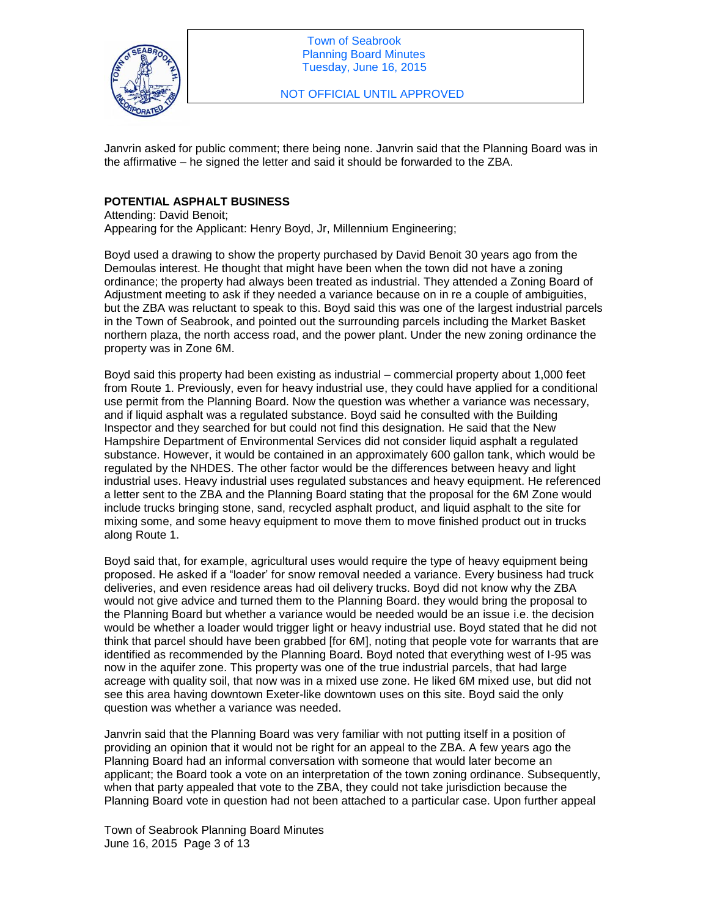

NOT OFFICIAL UNTIL APPROVED

Janvrin asked for public comment; there being none. Janvrin said that the Planning Board was in the affirmative – he signed the letter and said it should be forwarded to the ZBA.

# **POTENTIAL ASPHALT BUSINESS**

Attending: David Benoit; Appearing for the Applicant: Henry Boyd, Jr, Millennium Engineering;

Boyd used a drawing to show the property purchased by David Benoit 30 years ago from the Demoulas interest. He thought that might have been when the town did not have a zoning ordinance; the property had always been treated as industrial. They attended a Zoning Board of Adjustment meeting to ask if they needed a variance because on in re a couple of ambiguities, but the ZBA was reluctant to speak to this. Boyd said this was one of the largest industrial parcels in the Town of Seabrook, and pointed out the surrounding parcels including the Market Basket northern plaza, the north access road, and the power plant. Under the new zoning ordinance the property was in Zone 6M.

Boyd said this property had been existing as industrial – commercial property about 1,000 feet from Route 1. Previously, even for heavy industrial use, they could have applied for a conditional use permit from the Planning Board. Now the question was whether a variance was necessary, and if liquid asphalt was a regulated substance. Boyd said he consulted with the Building Inspector and they searched for but could not find this designation. He said that the New Hampshire Department of Environmental Services did not consider liquid asphalt a regulated substance. However, it would be contained in an approximately 600 gallon tank, which would be regulated by the NHDES. The other factor would be the differences between heavy and light industrial uses. Heavy industrial uses regulated substances and heavy equipment. He referenced a letter sent to the ZBA and the Planning Board stating that the proposal for the 6M Zone would include trucks bringing stone, sand, recycled asphalt product, and liquid asphalt to the site for mixing some, and some heavy equipment to move them to move finished product out in trucks along Route 1.

Boyd said that, for example, agricultural uses would require the type of heavy equipment being proposed. He asked if a "loader' for snow removal needed a variance. Every business had truck deliveries, and even residence areas had oil delivery trucks. Boyd did not know why the ZBA would not give advice and turned them to the Planning Board. they would bring the proposal to the Planning Board but whether a variance would be needed would be an issue i.e. the decision would be whether a loader would trigger light or heavy industrial use. Boyd stated that he did not think that parcel should have been grabbed [for 6M], noting that people vote for warrants that are identified as recommended by the Planning Board. Boyd noted that everything west of I-95 was now in the aquifer zone. This property was one of the true industrial parcels, that had large acreage with quality soil, that now was in a mixed use zone. He liked 6M mixed use, but did not see this area having downtown Exeter-like downtown uses on this site. Boyd said the only question was whether a variance was needed.

Janvrin said that the Planning Board was very familiar with not putting itself in a position of providing an opinion that it would not be right for an appeal to the ZBA. A few years ago the Planning Board had an informal conversation with someone that would later become an applicant; the Board took a vote on an interpretation of the town zoning ordinance. Subsequently, when that party appealed that vote to the ZBA, they could not take jurisdiction because the Planning Board vote in question had not been attached to a particular case. Upon further appeal

Town of Seabrook Planning Board Minutes June 16, 2015 Page 3 of 13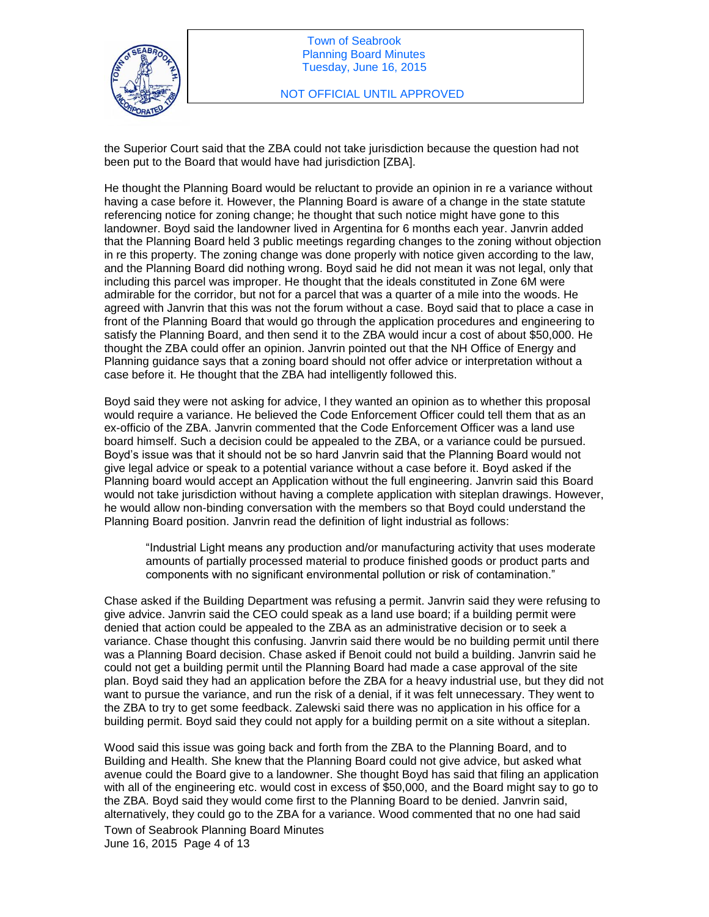

the Superior Court said that the ZBA could not take jurisdiction because the question had not been put to the Board that would have had jurisdiction [ZBA].

He thought the Planning Board would be reluctant to provide an opinion in re a variance without having a case before it. However, the Planning Board is aware of a change in the state statute referencing notice for zoning change; he thought that such notice might have gone to this landowner. Boyd said the landowner lived in Argentina for 6 months each year. Janvrin added that the Planning Board held 3 public meetings regarding changes to the zoning without objection in re this property. The zoning change was done properly with notice given according to the law, and the Planning Board did nothing wrong. Boyd said he did not mean it was not legal, only that including this parcel was improper. He thought that the ideals constituted in Zone 6M were admirable for the corridor, but not for a parcel that was a quarter of a mile into the woods. He agreed with Janvrin that this was not the forum without a case. Boyd said that to place a case in front of the Planning Board that would go through the application procedures and engineering to satisfy the Planning Board, and then send it to the ZBA would incur a cost of about \$50,000. He thought the ZBA could offer an opinion. Janvrin pointed out that the NH Office of Energy and Planning guidance says that a zoning board should not offer advice or interpretation without a case before it. He thought that the ZBA had intelligently followed this.

Boyd said they were not asking for advice, l they wanted an opinion as to whether this proposal would require a variance. He believed the Code Enforcement Officer could tell them that as an ex-officio of the ZBA. Janvrin commented that the Code Enforcement Officer was a land use board himself. Such a decision could be appealed to the ZBA, or a variance could be pursued. Boyd's issue was that it should not be so hard Janvrin said that the Planning Board would not give legal advice or speak to a potential variance without a case before it. Boyd asked if the Planning board would accept an Application without the full engineering. Janvrin said this Board would not take jurisdiction without having a complete application with siteplan drawings. However, he would allow non-binding conversation with the members so that Boyd could understand the Planning Board position. Janvrin read the definition of light industrial as follows:

"Industrial Light means any production and/or manufacturing activity that uses moderate amounts of partially processed material to produce finished goods or product parts and components with no significant environmental pollution or risk of contamination."

Chase asked if the Building Department was refusing a permit. Janvrin said they were refusing to give advice. Janvrin said the CEO could speak as a land use board; if a building permit were denied that action could be appealed to the ZBA as an administrative decision or to seek a variance. Chase thought this confusing. Janvrin said there would be no building permit until there was a Planning Board decision. Chase asked if Benoit could not build a building. Janvrin said he could not get a building permit until the Planning Board had made a case approval of the site plan. Boyd said they had an application before the ZBA for a heavy industrial use, but they did not want to pursue the variance, and run the risk of a denial, if it was felt unnecessary. They went to the ZBA to try to get some feedback. Zalewski said there was no application in his office for a building permit. Boyd said they could not apply for a building permit on a site without a siteplan.

Wood said this issue was going back and forth from the ZBA to the Planning Board, and to Building and Health. She knew that the Planning Board could not give advice, but asked what avenue could the Board give to a landowner. She thought Boyd has said that filing an application with all of the engineering etc. would cost in excess of \$50,000, and the Board might say to go to the ZBA. Boyd said they would come first to the Planning Board to be denied. Janvrin said, alternatively, they could go to the ZBA for a variance. Wood commented that no one had said

Town of Seabrook Planning Board Minutes June 16, 2015 Page 4 of 13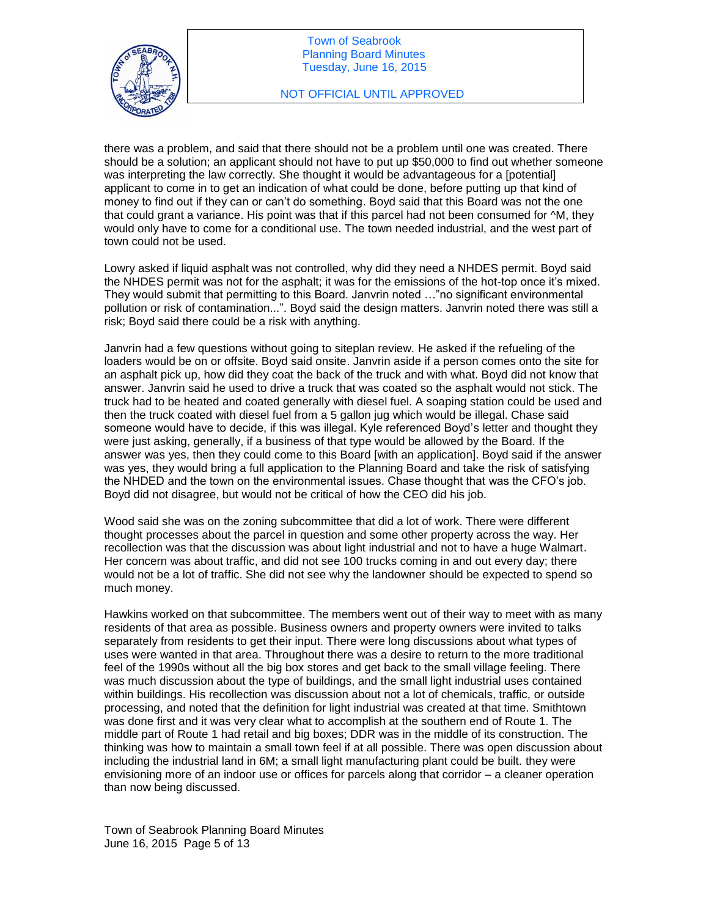

### NOT OFFICIAL UNTIL APPROVED

there was a problem, and said that there should not be a problem until one was created. There should be a solution; an applicant should not have to put up \$50,000 to find out whether someone was interpreting the law correctly. She thought it would be advantageous for a [potential] applicant to come in to get an indication of what could be done, before putting up that kind of money to find out if they can or can't do something. Boyd said that this Board was not the one that could grant a variance. His point was that if this parcel had not been consumed for ^M, they would only have to come for a conditional use. The town needed industrial, and the west part of town could not be used.

Lowry asked if liquid asphalt was not controlled, why did they need a NHDES permit. Boyd said the NHDES permit was not for the asphalt; it was for the emissions of the hot-top once it's mixed. They would submit that permitting to this Board. Janvrin noted …"no significant environmental pollution or risk of contamination...". Boyd said the design matters. Janvrin noted there was still a risk; Boyd said there could be a risk with anything.

Janvrin had a few questions without going to siteplan review. He asked if the refueling of the loaders would be on or offsite. Boyd said onsite. Janvrin aside if a person comes onto the site for an asphalt pick up, how did they coat the back of the truck and with what. Boyd did not know that answer. Janvrin said he used to drive a truck that was coated so the asphalt would not stick. The truck had to be heated and coated generally with diesel fuel. A soaping station could be used and then the truck coated with diesel fuel from a 5 gallon jug which would be illegal. Chase said someone would have to decide, if this was illegal. Kyle referenced Boyd's letter and thought they were just asking, generally, if a business of that type would be allowed by the Board. If the answer was yes, then they could come to this Board [with an application]. Boyd said if the answer was yes, they would bring a full application to the Planning Board and take the risk of satisfying the NHDED and the town on the environmental issues. Chase thought that was the CFO's job. Boyd did not disagree, but would not be critical of how the CEO did his job.

Wood said she was on the zoning subcommittee that did a lot of work. There were different thought processes about the parcel in question and some other property across the way. Her recollection was that the discussion was about light industrial and not to have a huge Walmart. Her concern was about traffic, and did not see 100 trucks coming in and out every day; there would not be a lot of traffic. She did not see why the landowner should be expected to spend so much money.

Hawkins worked on that subcommittee. The members went out of their way to meet with as many residents of that area as possible. Business owners and property owners were invited to talks separately from residents to get their input. There were long discussions about what types of uses were wanted in that area. Throughout there was a desire to return to the more traditional feel of the 1990s without all the big box stores and get back to the small village feeling. There was much discussion about the type of buildings, and the small light industrial uses contained within buildings. His recollection was discussion about not a lot of chemicals, traffic, or outside processing, and noted that the definition for light industrial was created at that time. Smithtown was done first and it was very clear what to accomplish at the southern end of Route 1. The middle part of Route 1 had retail and big boxes; DDR was in the middle of its construction. The thinking was how to maintain a small town feel if at all possible. There was open discussion about including the industrial land in 6M; a small light manufacturing plant could be built. they were envisioning more of an indoor use or offices for parcels along that corridor – a cleaner operation than now being discussed.

Town of Seabrook Planning Board Minutes June 16, 2015 Page 5 of 13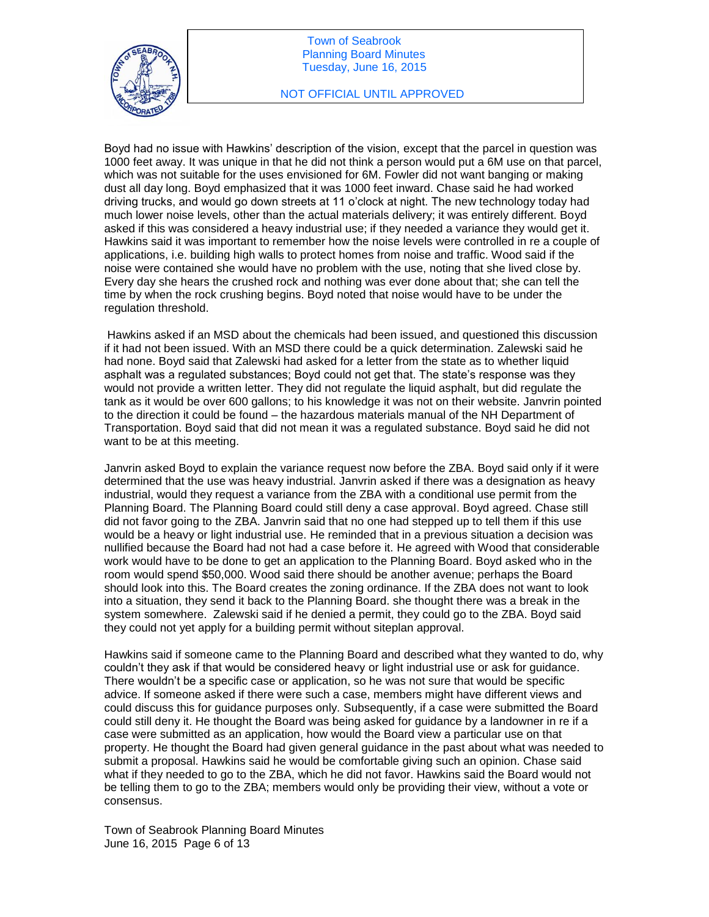

### NOT OFFICIAL UNTIL APPROVED

Boyd had no issue with Hawkins' description of the vision, except that the parcel in question was 1000 feet away. It was unique in that he did not think a person would put a 6M use on that parcel, which was not suitable for the uses envisioned for 6M. Fowler did not want banging or making dust all day long. Boyd emphasized that it was 1000 feet inward. Chase said he had worked driving trucks, and would go down streets at 11 o'clock at night. The new technology today had much lower noise levels, other than the actual materials delivery; it was entirely different. Boyd asked if this was considered a heavy industrial use; if they needed a variance they would get it. Hawkins said it was important to remember how the noise levels were controlled in re a couple of applications, i.e. building high walls to protect homes from noise and traffic. Wood said if the noise were contained she would have no problem with the use, noting that she lived close by. Every day she hears the crushed rock and nothing was ever done about that; she can tell the time by when the rock crushing begins. Boyd noted that noise would have to be under the regulation threshold.

Hawkins asked if an MSD about the chemicals had been issued, and questioned this discussion if it had not been issued. With an MSD there could be a quick determination. Zalewski said he had none. Boyd said that Zalewski had asked for a letter from the state as to whether liquid asphalt was a regulated substances; Boyd could not get that. The state's response was they would not provide a written letter. They did not regulate the liquid asphalt, but did regulate the tank as it would be over 600 gallons; to his knowledge it was not on their website. Janvrin pointed to the direction it could be found – the hazardous materials manual of the NH Department of Transportation. Boyd said that did not mean it was a regulated substance. Boyd said he did not want to be at this meeting.

Janvrin asked Boyd to explain the variance request now before the ZBA. Boyd said only if it were determined that the use was heavy industrial. Janvrin asked if there was a designation as heavy industrial, would they request a variance from the ZBA with a conditional use permit from the Planning Board. The Planning Board could still deny a case approval. Boyd agreed. Chase still did not favor going to the ZBA. Janvrin said that no one had stepped up to tell them if this use would be a heavy or light industrial use. He reminded that in a previous situation a decision was nullified because the Board had not had a case before it. He agreed with Wood that considerable work would have to be done to get an application to the Planning Board. Boyd asked who in the room would spend \$50,000. Wood said there should be another avenue; perhaps the Board should look into this. The Board creates the zoning ordinance. If the ZBA does not want to look into a situation, they send it back to the Planning Board. she thought there was a break in the system somewhere. Zalewski said if he denied a permit, they could go to the ZBA. Boyd said they could not yet apply for a building permit without siteplan approval.

Hawkins said if someone came to the Planning Board and described what they wanted to do, why couldn't they ask if that would be considered heavy or light industrial use or ask for guidance. There wouldn't be a specific case or application, so he was not sure that would be specific advice. If someone asked if there were such a case, members might have different views and could discuss this for guidance purposes only. Subsequently, if a case were submitted the Board could still deny it. He thought the Board was being asked for guidance by a landowner in re if a case were submitted as an application, how would the Board view a particular use on that property. He thought the Board had given general guidance in the past about what was needed to submit a proposal. Hawkins said he would be comfortable giving such an opinion. Chase said what if they needed to go to the ZBA, which he did not favor. Hawkins said the Board would not be telling them to go to the ZBA; members would only be providing their view, without a vote or consensus.

Town of Seabrook Planning Board Minutes June 16, 2015 Page 6 of 13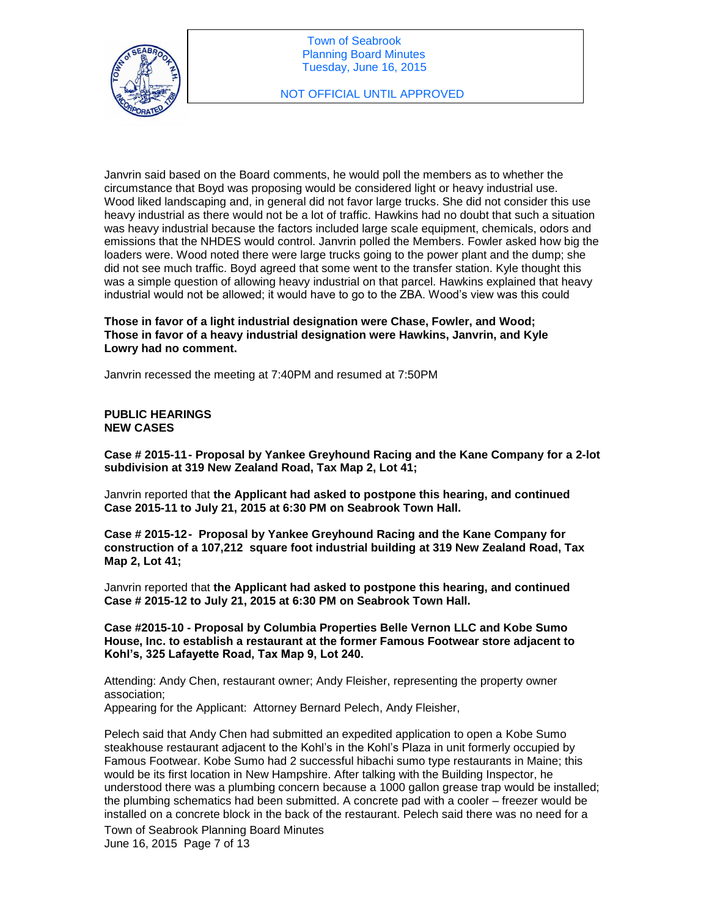

Janvrin said based on the Board comments, he would poll the members as to whether the circumstance that Boyd was proposing would be considered light or heavy industrial use. Wood liked landscaping and, in general did not favor large trucks. She did not consider this use heavy industrial as there would not be a lot of traffic. Hawkins had no doubt that such a situation was heavy industrial because the factors included large scale equipment, chemicals, odors and emissions that the NHDES would control. Janvrin polled the Members. Fowler asked how big the loaders were. Wood noted there were large trucks going to the power plant and the dump; she did not see much traffic. Boyd agreed that some went to the transfer station. Kyle thought this was a simple question of allowing heavy industrial on that parcel. Hawkins explained that heavy industrial would not be allowed; it would have to go to the ZBA. Wood's view was this could

**Those in favor of a light industrial designation were Chase, Fowler, and Wood; Those in favor of a heavy industrial designation were Hawkins, Janvrin, and Kyle Lowry had no comment.** 

Janvrin recessed the meeting at 7:40PM and resumed at 7:50PM

**PUBLIC HEARINGS NEW CASES** 

**Case # 2015-11- Proposal by Yankee Greyhound Racing and the Kane Company for a 2-lot subdivision at 319 New Zealand Road, Tax Map 2, Lot 41;**

Janvrin reported that **the Applicant had asked to postpone this hearing, and continued Case 2015-11 to July 21, 2015 at 6:30 PM on Seabrook Town Hall.** 

**Case # 2015-12- Proposal by Yankee Greyhound Racing and the Kane Company for construction of a 107,212 square foot industrial building at 319 New Zealand Road, Tax Map 2, Lot 41;**

Janvrin reported that **the Applicant had asked to postpone this hearing, and continued Case # 2015-12 to July 21, 2015 at 6:30 PM on Seabrook Town Hall.** 

**Case #2015-10 - Proposal by Columbia Properties Belle Vernon LLC and Kobe Sumo House, Inc. to establish a restaurant at the former Famous Footwear store adjacent to Kohl's, 325 Lafayette Road, Tax Map 9, Lot 240.**

Attending: Andy Chen, restaurant owner; Andy Fleisher, representing the property owner association;

Appearing for the Applicant: Attorney Bernard Pelech, Andy Fleisher,

Pelech said that Andy Chen had submitted an expedited application to open a Kobe Sumo steakhouse restaurant adjacent to the Kohl's in the Kohl's Plaza in unit formerly occupied by Famous Footwear. Kobe Sumo had 2 successful hibachi sumo type restaurants in Maine; this would be its first location in New Hampshire. After talking with the Building Inspector, he understood there was a plumbing concern because a 1000 gallon grease trap would be installed; the plumbing schematics had been submitted. A concrete pad with a cooler – freezer would be installed on a concrete block in the back of the restaurant. Pelech said there was no need for a

Town of Seabrook Planning Board Minutes June 16, 2015 Page 7 of 13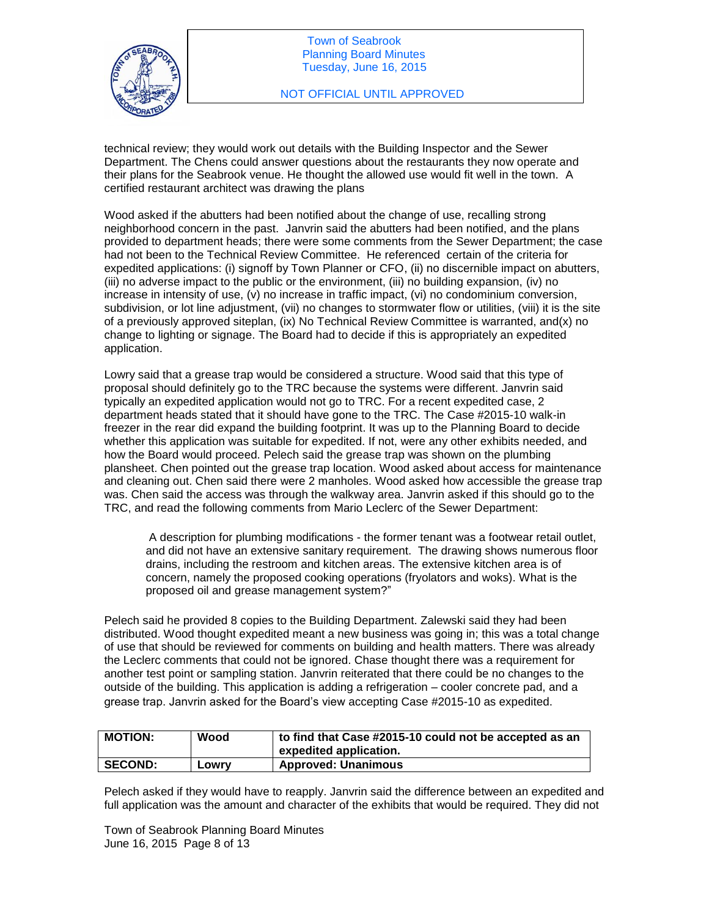

technical review; they would work out details with the Building Inspector and the Sewer Department. The Chens could answer questions about the restaurants they now operate and their plans for the Seabrook venue. He thought the allowed use would fit well in the town. A certified restaurant architect was drawing the plans

Wood asked if the abutters had been notified about the change of use, recalling strong neighborhood concern in the past. Janvrin said the abutters had been notified, and the plans provided to department heads; there were some comments from the Sewer Department; the case had not been to the Technical Review Committee. He referenced certain of the criteria for expedited applications: (i) signoff by Town Planner or CFO, (ii) no discernible impact on abutters, (iii) no adverse impact to the public or the environment, (iii) no building expansion, (iv) no increase in intensity of use, (v) no increase in traffic impact, (vi) no condominium conversion, subdivision, or lot line adjustment, (vii) no changes to stormwater flow or utilities, (viii) it is the site of a previously approved siteplan, (ix) No Technical Review Committee is warranted, and(x) no change to lighting or signage. The Board had to decide if this is appropriately an expedited application.

Lowry said that a grease trap would be considered a structure. Wood said that this type of proposal should definitely go to the TRC because the systems were different. Janvrin said typically an expedited application would not go to TRC. For a recent expedited case, 2 department heads stated that it should have gone to the TRC. The Case #2015-10 walk-in freezer in the rear did expand the building footprint. It was up to the Planning Board to decide whether this application was suitable for expedited. If not, were any other exhibits needed, and how the Board would proceed. Pelech said the grease trap was shown on the plumbing plansheet. Chen pointed out the grease trap location. Wood asked about access for maintenance and cleaning out. Chen said there were 2 manholes. Wood asked how accessible the grease trap was. Chen said the access was through the walkway area. Janvrin asked if this should go to the TRC, and read the following comments from Mario Leclerc of the Sewer Department:

A description for plumbing modifications - the former tenant was a footwear retail outlet, and did not have an extensive sanitary requirement. The drawing shows numerous floor drains, including the restroom and kitchen areas. The extensive kitchen area is of concern, namely the proposed cooking operations (fryolators and woks). What is the proposed oil and grease management system?"

Pelech said he provided 8 copies to the Building Department. Zalewski said they had been distributed. Wood thought expedited meant a new business was going in; this was a total change of use that should be reviewed for comments on building and health matters. There was already the Leclerc comments that could not be ignored. Chase thought there was a requirement for another test point or sampling station. Janvrin reiterated that there could be no changes to the outside of the building. This application is adding a refrigeration – cooler concrete pad, and a grease trap. Janvrin asked for the Board's view accepting Case #2015-10 as expedited.

| <b>MOTION:</b> | Wood  | to find that Case #2015-10 could not be accepted as an<br>expedited application. |
|----------------|-------|----------------------------------------------------------------------------------|
| <b>SECOND:</b> | LOWIV | <b>Approved: Unanimous</b>                                                       |

Pelech asked if they would have to reapply. Janvrin said the difference between an expedited and full application was the amount and character of the exhibits that would be required. They did not

Town of Seabrook Planning Board Minutes June 16, 2015 Page 8 of 13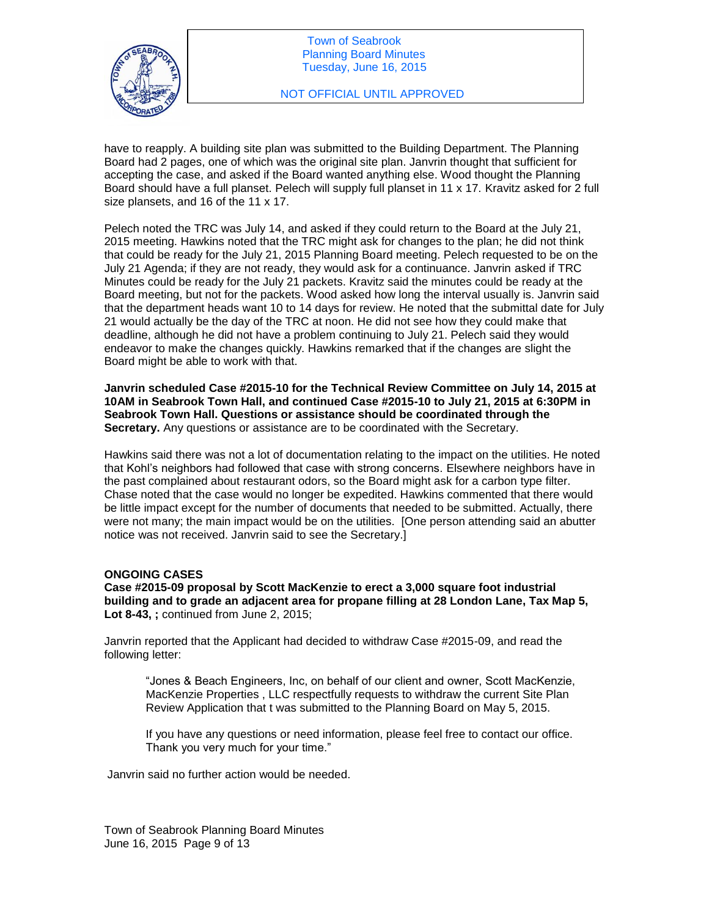

have to reapply. A building site plan was submitted to the Building Department. The Planning Board had 2 pages, one of which was the original site plan. Janvrin thought that sufficient for accepting the case, and asked if the Board wanted anything else. Wood thought the Planning Board should have a full planset. Pelech will supply full planset in 11 x 17. Kravitz asked for 2 full size plansets, and 16 of the 11 x 17.

Pelech noted the TRC was July 14, and asked if they could return to the Board at the July 21, 2015 meeting. Hawkins noted that the TRC might ask for changes to the plan; he did not think that could be ready for the July 21, 2015 Planning Board meeting. Pelech requested to be on the July 21 Agenda; if they are not ready, they would ask for a continuance. Janvrin asked if TRC Minutes could be ready for the July 21 packets. Kravitz said the minutes could be ready at the Board meeting, but not for the packets. Wood asked how long the interval usually is. Janvrin said that the department heads want 10 to 14 days for review. He noted that the submittal date for July 21 would actually be the day of the TRC at noon. He did not see how they could make that deadline, although he did not have a problem continuing to July 21. Pelech said they would endeavor to make the changes quickly. Hawkins remarked that if the changes are slight the Board might be able to work with that.

**Janvrin scheduled Case #2015-10 for the Technical Review Committee on July 14, 2015 at 10AM in Seabrook Town Hall, and continued Case #2015-10 to July 21, 2015 at 6:30PM in Seabrook Town Hall. Questions or assistance should be coordinated through the Secretary.** Any questions or assistance are to be coordinated with the Secretary.

Hawkins said there was not a lot of documentation relating to the impact on the utilities. He noted that Kohl's neighbors had followed that case with strong concerns. Elsewhere neighbors have in the past complained about restaurant odors, so the Board might ask for a carbon type filter. Chase noted that the case would no longer be expedited. Hawkins commented that there would be little impact except for the number of documents that needed to be submitted. Actually, there were not many; the main impact would be on the utilities. [One person attending said an abutter notice was not received. Janvrin said to see the Secretary.]

### **ONGOING CASES**

**Case #2015-09 proposal by Scott MacKenzie to erect a 3,000 square foot industrial building and to grade an adjacent area for propane filling at 28 London Lane, Tax Map 5, Lot 8-43, ;** continued from June 2, 2015;

Janvrin reported that the Applicant had decided to withdraw Case #2015-09, and read the following letter:

"Jones & Beach Engineers, Inc, on behalf of our client and owner, Scott MacKenzie, MacKenzie Properties , LLC respectfully requests to withdraw the current Site Plan Review Application that t was submitted to the Planning Board on May 5, 2015.

If you have any questions or need information, please feel free to contact our office. Thank you very much for your time."

Janvrin said no further action would be needed.

Town of Seabrook Planning Board Minutes June 16, 2015 Page 9 of 13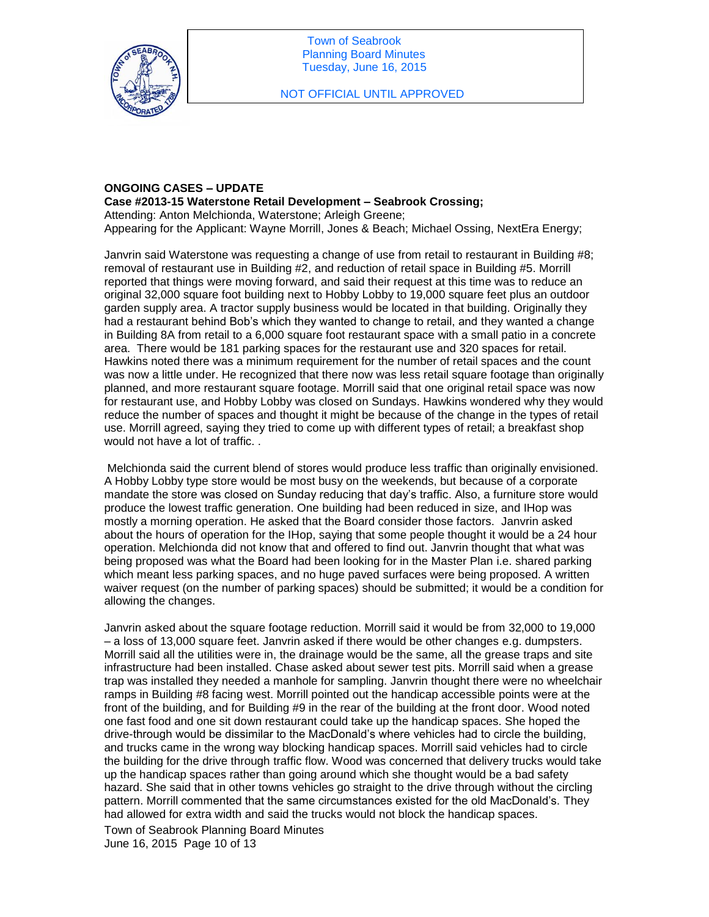

### **ONGOING CASES – UPDATE Case #2013-15 Waterstone Retail Development – Seabrook Crossing;**

Attending: Anton Melchionda, Waterstone; Arleigh Greene; Appearing for the Applicant: Wayne Morrill, Jones & Beach; Michael Ossing, NextEra Energy;

Janvrin said Waterstone was requesting a change of use from retail to restaurant in Building #8; removal of restaurant use in Building #2, and reduction of retail space in Building #5. Morrill reported that things were moving forward, and said their request at this time was to reduce an original 32,000 square foot building next to Hobby Lobby to 19,000 square feet plus an outdoor garden supply area. A tractor supply business would be located in that building. Originally they had a restaurant behind Bob's which they wanted to change to retail, and they wanted a change in Building 8A from retail to a 6,000 square foot restaurant space with a small patio in a concrete area. There would be 181 parking spaces for the restaurant use and 320 spaces for retail. Hawkins noted there was a minimum requirement for the number of retail spaces and the count was now a little under. He recognized that there now was less retail square footage than originally planned, and more restaurant square footage. Morrill said that one original retail space was now for restaurant use, and Hobby Lobby was closed on Sundays. Hawkins wondered why they would reduce the number of spaces and thought it might be because of the change in the types of retail use. Morrill agreed, saying they tried to come up with different types of retail; a breakfast shop would not have a lot of traffic. .

Melchionda said the current blend of stores would produce less traffic than originally envisioned. A Hobby Lobby type store would be most busy on the weekends, but because of a corporate mandate the store was closed on Sunday reducing that day's traffic. Also, a furniture store would produce the lowest traffic generation. One building had been reduced in size, and IHop was mostly a morning operation. He asked that the Board consider those factors. Janvrin asked about the hours of operation for the IHop, saying that some people thought it would be a 24 hour operation. Melchionda did not know that and offered to find out. Janvrin thought that what was being proposed was what the Board had been looking for in the Master Plan i.e. shared parking which meant less parking spaces, and no huge paved surfaces were being proposed. A written waiver request (on the number of parking spaces) should be submitted; it would be a condition for allowing the changes.

Janvrin asked about the square footage reduction. Morrill said it would be from 32,000 to 19,000 – a loss of 13,000 square feet. Janvrin asked if there would be other changes e.g. dumpsters. Morrill said all the utilities were in, the drainage would be the same, all the grease traps and site infrastructure had been installed. Chase asked about sewer test pits. Morrill said when a grease trap was installed they needed a manhole for sampling. Janvrin thought there were no wheelchair ramps in Building #8 facing west. Morrill pointed out the handicap accessible points were at the front of the building, and for Building #9 in the rear of the building at the front door. Wood noted one fast food and one sit down restaurant could take up the handicap spaces. She hoped the drive-through would be dissimilar to the MacDonald's where vehicles had to circle the building, and trucks came in the wrong way blocking handicap spaces. Morrill said vehicles had to circle the building for the drive through traffic flow. Wood was concerned that delivery trucks would take up the handicap spaces rather than going around which she thought would be a bad safety hazard. She said that in other towns vehicles go straight to the drive through without the circling pattern. Morrill commented that the same circumstances existed for the old MacDonald's. They had allowed for extra width and said the trucks would not block the handicap spaces.

Town of Seabrook Planning Board Minutes June 16, 2015 Page 10 of 13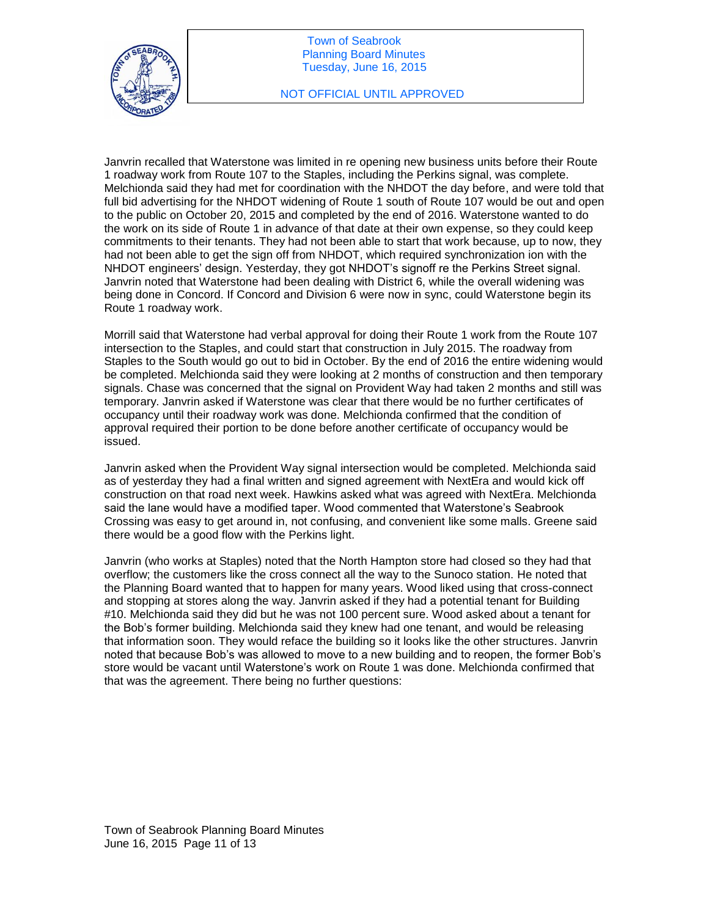

Janvrin recalled that Waterstone was limited in re opening new business units before their Route 1 roadway work from Route 107 to the Staples, including the Perkins signal, was complete. Melchionda said they had met for coordination with the NHDOT the day before, and were told that full bid advertising for the NHDOT widening of Route 1 south of Route 107 would be out and open to the public on October 20, 2015 and completed by the end of 2016. Waterstone wanted to do the work on its side of Route 1 in advance of that date at their own expense, so they could keep commitments to their tenants. They had not been able to start that work because, up to now, they had not been able to get the sign off from NHDOT, which required synchronization ion with the NHDOT engineers' design. Yesterday, they got NHDOT's signoff re the Perkins Street signal. Janvrin noted that Waterstone had been dealing with District 6, while the overall widening was being done in Concord. If Concord and Division 6 were now in sync, could Waterstone begin its Route 1 roadway work.

Morrill said that Waterstone had verbal approval for doing their Route 1 work from the Route 107 intersection to the Staples, and could start that construction in July 2015. The roadway from Staples to the South would go out to bid in October. By the end of 2016 the entire widening would be completed. Melchionda said they were looking at 2 months of construction and then temporary signals. Chase was concerned that the signal on Provident Way had taken 2 months and still was temporary. Janvrin asked if Waterstone was clear that there would be no further certificates of occupancy until their roadway work was done. Melchionda confirmed that the condition of approval required their portion to be done before another certificate of occupancy would be issued.

Janvrin asked when the Provident Way signal intersection would be completed. Melchionda said as of yesterday they had a final written and signed agreement with NextEra and would kick off construction on that road next week. Hawkins asked what was agreed with NextEra. Melchionda said the lane would have a modified taper. Wood commented that Waterstone's Seabrook Crossing was easy to get around in, not confusing, and convenient like some malls. Greene said there would be a good flow with the Perkins light.

Janvrin (who works at Staples) noted that the North Hampton store had closed so they had that overflow; the customers like the cross connect all the way to the Sunoco station. He noted that the Planning Board wanted that to happen for many years. Wood liked using that cross-connect and stopping at stores along the way. Janvrin asked if they had a potential tenant for Building #10. Melchionda said they did but he was not 100 percent sure. Wood asked about a tenant for the Bob's former building. Melchionda said they knew had one tenant, and would be releasing that information soon. They would reface the building so it looks like the other structures. Janvrin noted that because Bob's was allowed to move to a new building and to reopen, the former Bob's store would be vacant until Waterstone's work on Route 1 was done. Melchionda confirmed that that was the agreement. There being no further questions: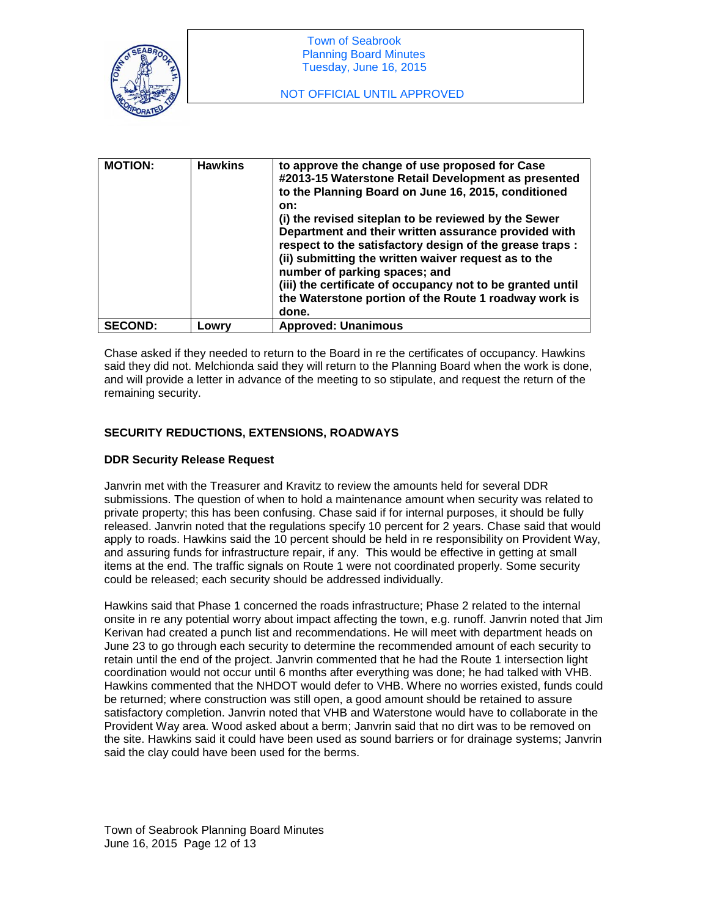

| <b>MOTION:</b> | <b>Hawkins</b> | to approve the change of use proposed for Case<br>#2013-15 Waterstone Retail Development as presented<br>to the Planning Board on June 16, 2015, conditioned<br>on:<br>(i) the revised siteplan to be reviewed by the Sewer<br>Department and their written assurance provided with<br>respect to the satisfactory design of the grease traps :<br>(ii) submitting the written waiver request as to the<br>number of parking spaces; and<br>(iii) the certificate of occupancy not to be granted until<br>the Waterstone portion of the Route 1 roadway work is<br>done. |
|----------------|----------------|--------------------------------------------------------------------------------------------------------------------------------------------------------------------------------------------------------------------------------------------------------------------------------------------------------------------------------------------------------------------------------------------------------------------------------------------------------------------------------------------------------------------------------------------------------------------------|
| <b>SECOND:</b> | Lowry          | <b>Approved: Unanimous</b>                                                                                                                                                                                                                                                                                                                                                                                                                                                                                                                                               |

Chase asked if they needed to return to the Board in re the certificates of occupancy. Hawkins said they did not. Melchionda said they will return to the Planning Board when the work is done, and will provide a letter in advance of the meeting to so stipulate, and request the return of the remaining security.

## **SECURITY REDUCTIONS, EXTENSIONS, ROADWAYS**

## **DDR Security Release Request**

Janvrin met with the Treasurer and Kravitz to review the amounts held for several DDR submissions. The question of when to hold a maintenance amount when security was related to private property; this has been confusing. Chase said if for internal purposes, it should be fully released. Janvrin noted that the regulations specify 10 percent for 2 years. Chase said that would apply to roads. Hawkins said the 10 percent should be held in re responsibility on Provident Way, and assuring funds for infrastructure repair, if any. This would be effective in getting at small items at the end. The traffic signals on Route 1 were not coordinated properly. Some security could be released; each security should be addressed individually.

Hawkins said that Phase 1 concerned the roads infrastructure; Phase 2 related to the internal onsite in re any potential worry about impact affecting the town, e.g. runoff. Janvrin noted that Jim Kerivan had created a punch list and recommendations. He will meet with department heads on June 23 to go through each security to determine the recommended amount of each security to retain until the end of the project. Janvrin commented that he had the Route 1 intersection light coordination would not occur until 6 months after everything was done; he had talked with VHB. Hawkins commented that the NHDOT would defer to VHB. Where no worries existed, funds could be returned; where construction was still open, a good amount should be retained to assure satisfactory completion. Janvrin noted that VHB and Waterstone would have to collaborate in the Provident Way area. Wood asked about a berm; Janvrin said that no dirt was to be removed on the site. Hawkins said it could have been used as sound barriers or for drainage systems; Janvrin said the clay could have been used for the berms.